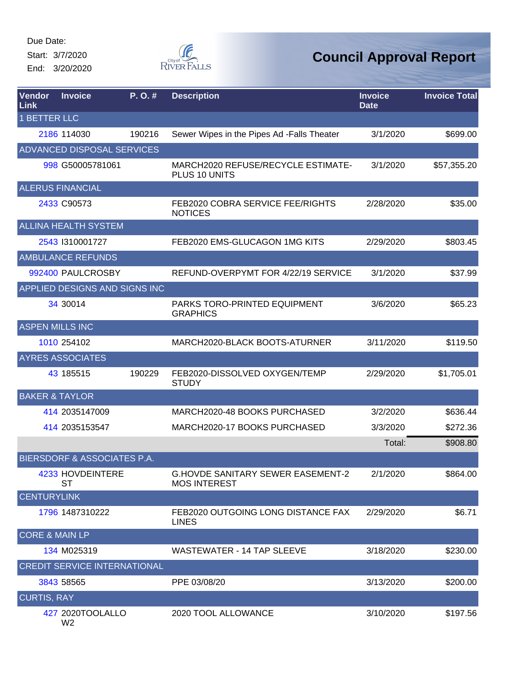Start: 3/7/2020 End: 3/20/2020



| <b>Vendor</b><br>Link     | <b>Invoice</b>                         | P. O. # | <b>Description</b>                                              | <b>Invoice</b><br><b>Date</b> | <b>Invoice Total</b> |
|---------------------------|----------------------------------------|---------|-----------------------------------------------------------------|-------------------------------|----------------------|
| <b>1 BETTER LLC</b>       |                                        |         |                                                                 |                               |                      |
|                           | 2186 114030                            | 190216  | Sewer Wipes in the Pipes Ad -Falls Theater                      | 3/1/2020                      | \$699.00             |
|                           | <b>ADVANCED DISPOSAL SERVICES</b>      |         |                                                                 |                               |                      |
|                           | 998 G50005781061                       |         | MARCH2020 REFUSE/RECYCLE ESTIMATE-<br>PLUS 10 UNITS             | 3/1/2020                      | \$57,355.20          |
|                           | <b>ALERUS FINANCIAL</b>                |         |                                                                 |                               |                      |
|                           | 2433 C90573                            |         | FEB2020 COBRA SERVICE FEE/RIGHTS<br><b>NOTICES</b>              | 2/28/2020                     | \$35.00              |
|                           | <b>ALLINA HEALTH SYSTEM</b>            |         |                                                                 |                               |                      |
|                           | 2543 1310001727                        |         | FEB2020 EMS-GLUCAGON 1MG KITS                                   | 2/29/2020                     | \$803.45             |
|                           | <b>AMBULANCE REFUNDS</b>               |         |                                                                 |                               |                      |
|                           | 992400 PAULCROSBY                      |         | REFUND-OVERPYMT FOR 4/22/19 SERVICE                             | 3/1/2020                      | \$37.99              |
|                           | APPLIED DESIGNS AND SIGNS INC          |         |                                                                 |                               |                      |
|                           | 34 30014                               |         | PARKS TORO-PRINTED EQUIPMENT<br><b>GRAPHICS</b>                 | 3/6/2020                      | \$65.23              |
| <b>ASPEN MILLS INC</b>    |                                        |         |                                                                 |                               |                      |
|                           | 1010 254102                            |         | MARCH2020-BLACK BOOTS-ATURNER                                   | 3/11/2020                     | \$119.50             |
|                           | <b>AYRES ASSOCIATES</b>                |         |                                                                 |                               |                      |
|                           | 43 185515                              | 190229  | FEB2020-DISSOLVED OXYGEN/TEMP<br><b>STUDY</b>                   | 2/29/2020                     | \$1,705.01           |
| <b>BAKER &amp; TAYLOR</b> |                                        |         |                                                                 |                               |                      |
|                           | 414 2035147009                         |         | MARCH2020-48 BOOKS PURCHASED                                    | 3/2/2020                      | \$636.44             |
|                           | 414 2035153547                         |         | MARCH2020-17 BOOKS PURCHASED                                    | 3/3/2020                      | \$272.36             |
|                           |                                        |         |                                                                 | Total:                        | \$908.80             |
|                           | <b>BIERSDORF &amp; ASSOCIATES P.A.</b> |         |                                                                 |                               |                      |
|                           | 4233 HOVDEINTERE<br>ST                 |         | <b>G.HOVDE SANITARY SEWER EASEMENT-2</b><br><b>MOS INTEREST</b> | 2/1/2020                      | \$864.00             |
| <b>CENTURYLINK</b>        |                                        |         |                                                                 |                               |                      |
|                           | 1796 1487310222                        |         | FEB2020 OUTGOING LONG DISTANCE FAX<br><b>LINES</b>              | 2/29/2020                     | \$6.71               |
| <b>CORE &amp; MAIN LP</b> |                                        |         |                                                                 |                               |                      |
|                           | 134 M025319                            |         | <b>WASTEWATER - 14 TAP SLEEVE</b>                               | 3/18/2020                     | \$230.00             |
|                           | <b>CREDIT SERVICE INTERNATIONAL</b>    |         |                                                                 |                               |                      |
|                           | 3843 58565                             |         | PPE 03/08/20                                                    | 3/13/2020                     | \$200.00             |
| <b>CURTIS, RAY</b>        |                                        |         |                                                                 |                               |                      |
|                           | 427 2020TOOLALLO<br>W <sub>2</sub>     |         | 2020 TOOL ALLOWANCE                                             | 3/10/2020                     | \$197.56             |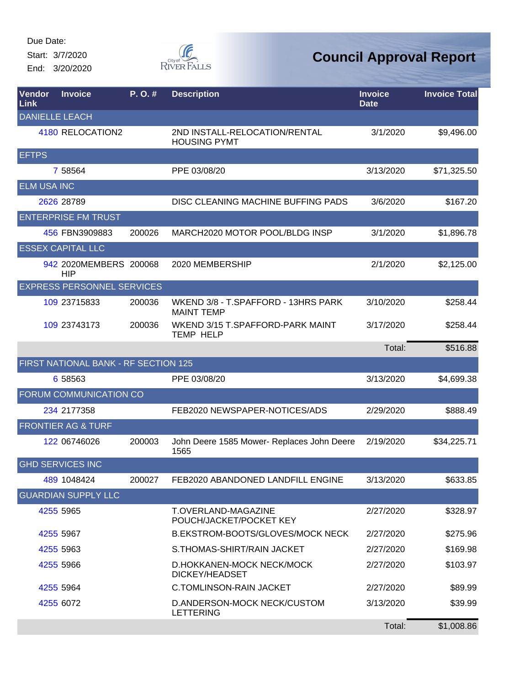Start: 3/7/2020 End: 3/20/2020



| <b>Vendor</b><br>Link | <b>Invoice</b>                       | P. O. # | <b>Description</b>                                       | <b>Invoice</b><br><b>Date</b> | <b>Invoice Total</b> |
|-----------------------|--------------------------------------|---------|----------------------------------------------------------|-------------------------------|----------------------|
|                       | <b>DANIELLE LEACH</b>                |         |                                                          |                               |                      |
|                       | 4180 RELOCATION2                     |         | 2ND INSTALL-RELOCATION/RENTAL<br><b>HOUSING PYMT</b>     | 3/1/2020                      | \$9,496.00           |
| <b>EFTPS</b>          |                                      |         |                                                          |                               |                      |
|                       | 7 58564                              |         | PPE 03/08/20                                             | 3/13/2020                     | \$71,325.50          |
| <b>ELM USA INC</b>    |                                      |         |                                                          |                               |                      |
|                       | 2626 28789                           |         | DISC CLEANING MACHINE BUFFING PADS                       | 3/6/2020                      | \$167.20             |
|                       | <b>ENTERPRISE FM TRUST</b>           |         |                                                          |                               |                      |
|                       | 456 FBN3909883                       | 200026  | MARCH2020 MOTOR POOL/BLDG INSP                           | 3/1/2020                      | \$1,896.78           |
|                       | <b>ESSEX CAPITAL LLC</b>             |         |                                                          |                               |                      |
|                       | 942 2020MEMBERS 200068<br><b>HIP</b> |         | 2020 MEMBERSHIP                                          | 2/1/2020                      | \$2,125.00           |
|                       | <b>EXPRESS PERSONNEL SERVICES</b>    |         |                                                          |                               |                      |
|                       | 109 23715833                         | 200036  | WKEND 3/8 - T.SPAFFORD - 13HRS PARK<br><b>MAINT TEMP</b> | 3/10/2020                     | \$258.44             |
|                       | 109 23743173                         | 200036  | WKEND 3/15 T.SPAFFORD-PARK MAINT<br><b>TEMP HELP</b>     | 3/17/2020                     | \$258.44             |
|                       |                                      |         |                                                          | Total:                        | \$516.88             |
|                       | FIRST NATIONAL BANK - RF SECTION 125 |         |                                                          |                               |                      |
|                       | 6 58563                              |         | PPE 03/08/20                                             | 3/13/2020                     | \$4,699.38           |
|                       | FORUM COMMUNICATION CO               |         |                                                          |                               |                      |
|                       | 234 2177358                          |         | FEB2020 NEWSPAPER-NOTICES/ADS                            | 2/29/2020                     | \$888.49             |
|                       | <b>FRONTIER AG &amp; TURF</b>        |         |                                                          |                               |                      |
|                       | 122 06746026                         | 200003  | John Deere 1585 Mower- Replaces John Deere<br>1565       | 2/19/2020                     | \$34,225.71          |
|                       | <b>GHD SERVICES INC</b>              |         |                                                          |                               |                      |
|                       | 489 1048424                          | 200027  | FEB2020 ABANDONED LANDFILL ENGINE                        | 3/13/2020                     | \$633.85             |
|                       | <b>GUARDIAN SUPPLY LLC</b>           |         |                                                          |                               |                      |
|                       | 4255 5965                            |         | T.OVERLAND-MAGAZINE<br>POUCH/JACKET/POCKET KEY           | 2/27/2020                     | \$328.97             |
|                       | 4255 5967                            |         | B.EKSTROM-BOOTS/GLOVES/MOCK NECK                         | 2/27/2020                     | \$275.96             |
|                       | 4255 5963                            |         | S.THOMAS-SHIRT/RAIN JACKET                               | 2/27/2020                     | \$169.98             |
|                       | 4255 5966                            |         | D.HOKKANEN-MOCK NECK/MOCK<br><b>DICKEY/HEADSET</b>       | 2/27/2020                     | \$103.97             |
|                       | 4255 5964                            |         | <b>C.TOMLINSON-RAIN JACKET</b>                           | 2/27/2020                     | \$89.99              |
|                       | 4255 6072                            |         | D.ANDERSON-MOCK NECK/CUSTOM<br><b>LETTERING</b>          | 3/13/2020                     | \$39.99              |
|                       |                                      |         |                                                          | Total:                        | \$1,008.86           |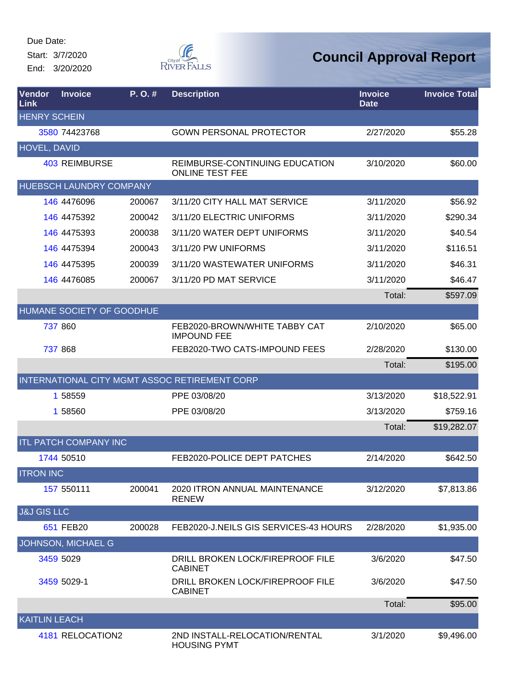Start: 3/7/2020

End: 3/20/2020



| Vendor<br>Link         | <b>Invoice</b>                 | P.O.#  | <b>Description</b>                                       | <b>Invoice</b><br><b>Date</b> | <b>Invoice Total</b> |
|------------------------|--------------------------------|--------|----------------------------------------------------------|-------------------------------|----------------------|
| <b>HENRY SCHEIN</b>    |                                |        |                                                          |                               |                      |
|                        | 3580 74423768                  |        | <b>GOWN PERSONAL PROTECTOR</b>                           | 2/27/2020                     | \$55.28              |
| <b>HOVEL, DAVID</b>    |                                |        |                                                          |                               |                      |
|                        | <b>403 REIMBURSE</b>           |        | REIMBURSE-CONTINUING EDUCATION<br><b>ONLINE TEST FEE</b> | 3/10/2020                     | \$60.00              |
|                        | <b>HUEBSCH LAUNDRY COMPANY</b> |        |                                                          |                               |                      |
|                        | 146 4476096                    | 200067 | 3/11/20 CITY HALL MAT SERVICE                            | 3/11/2020                     | \$56.92              |
|                        | 146 4475392                    | 200042 | 3/11/20 ELECTRIC UNIFORMS                                | 3/11/2020                     | \$290.34             |
|                        | 146 4475393                    | 200038 | 3/11/20 WATER DEPT UNIFORMS                              | 3/11/2020                     | \$40.54              |
|                        | 146 4475394                    | 200043 | 3/11/20 PW UNIFORMS                                      | 3/11/2020                     | \$116.51             |
|                        | 146 4475395                    | 200039 | 3/11/20 WASTEWATER UNIFORMS                              | 3/11/2020                     | \$46.31              |
|                        | 146 4476085                    | 200067 | 3/11/20 PD MAT SERVICE                                   | 3/11/2020                     | \$46.47              |
|                        |                                |        |                                                          | Total:                        | \$597.09             |
|                        | HUMANE SOCIETY OF GOODHUE      |        |                                                          |                               |                      |
|                        | 737 860                        |        | FEB2020-BROWN/WHITE TABBY CAT<br><b>IMPOUND FEE</b>      | 2/10/2020                     | \$65.00              |
|                        | 737 868                        |        | FEB2020-TWO CATS-IMPOUND FEES                            | 2/28/2020                     | \$130.00             |
|                        |                                |        |                                                          | Total:                        | \$195.00             |
|                        |                                |        | INTERNATIONAL CITY MGMT ASSOC RETIREMENT CORP            |                               |                      |
|                        | 1 58559                        |        | PPE 03/08/20                                             | 3/13/2020                     | \$18,522.91          |
|                        | 1 58560                        |        | PPE 03/08/20                                             | 3/13/2020                     | \$759.16             |
|                        |                                |        |                                                          | Total:                        | \$19,282.07          |
|                        | <b>ITL PATCH COMPANY INC</b>   |        |                                                          |                               |                      |
|                        | 1744 50510                     |        | FEB2020-POLICE DEPT PATCHES                              | 2/14/2020                     | \$642.50             |
| <b>ITRON INC</b>       |                                |        |                                                          |                               |                      |
|                        | 157 550111                     | 200041 | 2020 ITRON ANNUAL MAINTENANCE<br><b>RENEW</b>            | 3/12/2020                     | \$7,813.86           |
| <b>J&amp;J GIS LLC</b> |                                |        |                                                          |                               |                      |
|                        | 651 FEB20                      | 200028 | FEB2020-J.NEILS GIS SERVICES-43 HOURS                    | 2/28/2020                     | \$1,935.00           |
|                        | JOHNSON, MICHAEL G             |        |                                                          |                               |                      |
|                        | 3459 5029                      |        | DRILL BROKEN LOCK/FIREPROOF FILE<br><b>CABINET</b>       | 3/6/2020                      | \$47.50              |
|                        | 3459 5029-1                    |        | DRILL BROKEN LOCK/FIREPROOF FILE<br><b>CABINET</b>       | 3/6/2020                      | \$47.50              |
|                        |                                |        |                                                          | Total:                        | \$95.00              |
| <b>KAITLIN LEACH</b>   |                                |        |                                                          |                               |                      |
|                        | 4181 RELOCATION2               |        | 2ND INSTALL-RELOCATION/RENTAL<br><b>HOUSING PYMT</b>     | 3/1/2020                      | \$9,496.00           |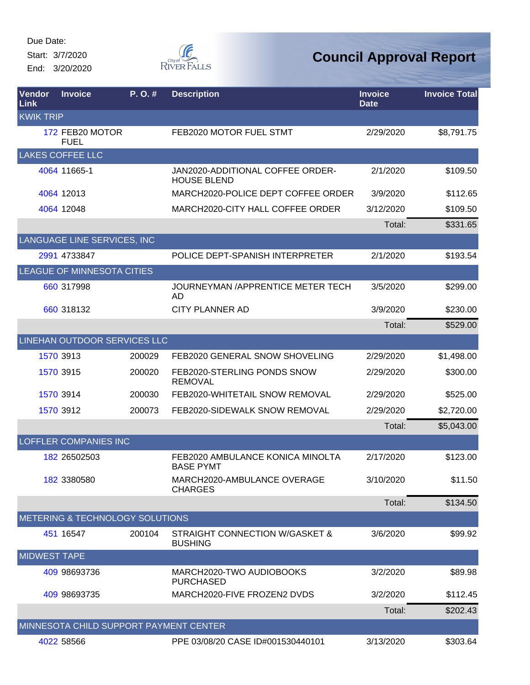Start: 3/7/2020 End: 3/20/2020



| <b>Vendor</b><br><b>Link</b> | <b>Invoice</b>                         | $P. O.$ # | <b>Description</b>                                     | <b>Invoice</b><br><b>Date</b> | <b>Invoice Total</b> |
|------------------------------|----------------------------------------|-----------|--------------------------------------------------------|-------------------------------|----------------------|
| <b>KWIK TRIP</b>             |                                        |           |                                                        |                               |                      |
|                              | 172 FEB20 MOTOR<br><b>FUEL</b>         |           | FEB2020 MOTOR FUEL STMT                                | 2/29/2020                     | \$8,791.75           |
|                              | <b>LAKES COFFEE LLC</b>                |           |                                                        |                               |                      |
|                              | 4064 11665-1                           |           | JAN2020-ADDITIONAL COFFEE ORDER-<br><b>HOUSE BLEND</b> | 2/1/2020                      | \$109.50             |
|                              | 4064 12013                             |           | MARCH2020-POLICE DEPT COFFEE ORDER                     | 3/9/2020                      | \$112.65             |
|                              | 4064 12048                             |           | MARCH2020-CITY HALL COFFEE ORDER                       | 3/12/2020                     | \$109.50             |
|                              |                                        |           |                                                        | Total:                        | \$331.65             |
|                              | LANGUAGE LINE SERVICES, INC            |           |                                                        |                               |                      |
|                              | 2991 4733847                           |           | POLICE DEPT-SPANISH INTERPRETER                        | 2/1/2020                      | \$193.54             |
|                              | LEAGUE OF MINNESOTA CITIES             |           |                                                        |                               |                      |
|                              | 660 317998                             |           | JOURNEYMAN / APPRENTICE METER TECH<br>AD.              | 3/5/2020                      | \$299.00             |
|                              | 660 318132                             |           | CITY PLANNER AD                                        | 3/9/2020                      | \$230.00             |
|                              |                                        |           |                                                        | Total:                        | \$529.00             |
|                              | LINEHAN OUTDOOR SERVICES LLC           |           |                                                        |                               |                      |
|                              | 1570 3913                              | 200029    | FEB2020 GENERAL SNOW SHOVELING                         | 2/29/2020                     | \$1,498.00           |
|                              | 1570 3915                              | 200020    | FEB2020-STERLING PONDS SNOW<br><b>REMOVAL</b>          | 2/29/2020                     | \$300.00             |
|                              | 1570 3914                              | 200030    | FEB2020-WHITETAIL SNOW REMOVAL                         | 2/29/2020                     | \$525.00             |
|                              | 1570 3912                              | 200073    | FEB2020-SIDEWALK SNOW REMOVAL                          | 2/29/2020                     | \$2,720.00           |
|                              |                                        |           |                                                        | Total:                        | \$5,043.00           |
|                              | <b>LOFFLER COMPANIES INC</b>           |           |                                                        |                               |                      |
|                              | 182 26502503                           |           | FEB2020 AMBULANCE KONICA MINOLTA<br><b>BASE PYMT</b>   | 2/17/2020                     | \$123.00             |
|                              | 182 3380580                            |           | MARCH2020-AMBULANCE OVERAGE<br><b>CHARGES</b>          | 3/10/2020                     | \$11.50              |
|                              |                                        |           |                                                        | Total:                        | \$134.50             |
|                              | METERING & TECHNOLOGY SOLUTIONS        |           |                                                        |                               |                      |
|                              | 451 16547                              | 200104    | STRAIGHT CONNECTION W/GASKET &<br><b>BUSHING</b>       | 3/6/2020                      | \$99.92              |
| <b>MIDWEST TAPE</b>          |                                        |           |                                                        |                               |                      |
|                              | 409 98693736                           |           | MARCH2020-TWO AUDIOBOOKS<br><b>PURCHASED</b>           | 3/2/2020                      | \$89.98              |
|                              | 409 98693735                           |           | MARCH2020-FIVE FROZEN2 DVDS                            | 3/2/2020                      | \$112.45             |
|                              |                                        |           |                                                        | Total:                        | \$202.43             |
|                              | MINNESOTA CHILD SUPPORT PAYMENT CENTER |           |                                                        |                               |                      |
|                              | 4022 58566                             |           | PPE 03/08/20 CASE ID#001530440101                      | 3/13/2020                     | \$303.64             |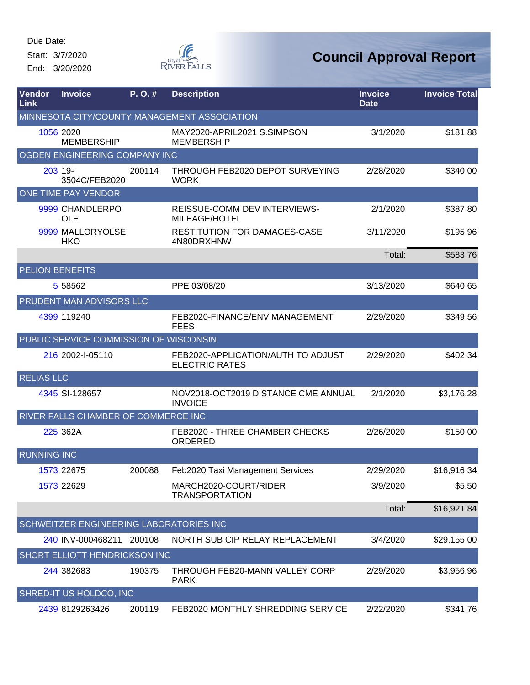Start: 3/7/2020 End: 3/20/2020



| Vendor<br><b>Link</b> | <b>Invoice</b>                                 | P.O.#  | <b>Description</b>                                          | <b>Invoice</b><br><b>Date</b> | <b>Invoice Total</b> |
|-----------------------|------------------------------------------------|--------|-------------------------------------------------------------|-------------------------------|----------------------|
|                       |                                                |        | MINNESOTA CITY/COUNTY MANAGEMENT ASSOCIATION                |                               |                      |
|                       | 1056 2020<br><b>MEMBERSHIP</b>                 |        | MAY2020-APRIL2021 S.SIMPSON<br><b>MEMBERSHIP</b>            | 3/1/2020                      | \$181.88             |
|                       | OGDEN ENGINEERING COMPANY INC                  |        |                                                             |                               |                      |
|                       | 203 19-<br>3504C/FEB2020                       | 200114 | THROUGH FEB2020 DEPOT SURVEYING<br><b>WORK</b>              | 2/28/2020                     | \$340.00             |
|                       | <b>ONE TIME PAY VENDOR</b>                     |        |                                                             |                               |                      |
|                       | 9999 CHANDLERPO<br><b>OLE</b>                  |        | REISSUE-COMM DEV INTERVIEWS-<br>MILEAGE/HOTEL               | 2/1/2020                      | \$387.80             |
|                       | 9999 MALLORYOLSE<br>HKO                        |        | RESTITUTION FOR DAMAGES-CASE<br>4N80DRXHNW                  | 3/11/2020                     | \$195.96             |
|                       |                                                |        |                                                             | Total:                        | \$583.76             |
|                       | <b>PELION BENEFITS</b>                         |        |                                                             |                               |                      |
|                       | 5 58562                                        |        | PPE 03/08/20                                                | 3/13/2020                     | \$640.65             |
|                       | <b>PRUDENT MAN ADVISORS LLC</b>                |        |                                                             |                               |                      |
|                       | 4399 119240                                    |        | FEB2020-FINANCE/ENV MANAGEMENT<br><b>FEES</b>               | 2/29/2020                     | \$349.56             |
|                       | PUBLIC SERVICE COMMISSION OF WISCONSIN         |        |                                                             |                               |                      |
|                       | 216 2002-I-05110                               |        | FEB2020-APPLICATION/AUTH TO ADJUST<br><b>ELECTRIC RATES</b> | 2/29/2020                     | \$402.34             |
| <b>RELIAS LLC</b>     |                                                |        |                                                             |                               |                      |
|                       | 4345 SI-128657                                 |        | NOV2018-OCT2019 DISTANCE CME ANNUAL<br><b>INVOICE</b>       | 2/1/2020                      | \$3,176.28           |
|                       | RIVER FALLS CHAMBER OF COMMERCE INC            |        |                                                             |                               |                      |
|                       | 225 362A                                       |        | FEB2020 - THREE CHAMBER CHECKS<br>ORDERED                   | 2/26/2020                     | \$150.00             |
| <b>RUNNING INC</b>    |                                                |        |                                                             |                               |                      |
|                       | 1573 22675                                     | 200088 | Feb2020 Taxi Management Services                            | 2/29/2020                     | \$16,916.34          |
|                       | 1573 22629                                     |        | MARCH2020-COURT/RIDER<br><b>TRANSPORTATION</b>              | 3/9/2020                      | \$5.50               |
|                       |                                                |        |                                                             | Total:                        | \$16,921.84          |
|                       | <b>SCHWEITZER ENGINEERING LABORATORIES INC</b> |        |                                                             |                               |                      |
|                       | 240 INV-000468211                              | 200108 | NORTH SUB CIP RELAY REPLACEMENT                             | 3/4/2020                      | \$29,155.00          |
|                       | <b>SHORT ELLIOTT HENDRICKSON INC</b>           |        |                                                             |                               |                      |
|                       | 244 382683                                     | 190375 | THROUGH FEB20-MANN VALLEY CORP<br><b>PARK</b>               | 2/29/2020                     | \$3,956.96           |
|                       | SHRED-IT US HOLDCO, INC                        |        |                                                             |                               |                      |
|                       | 2439 8129263426                                | 200119 | FEB2020 MONTHLY SHREDDING SERVICE                           | 2/22/2020                     | \$341.76             |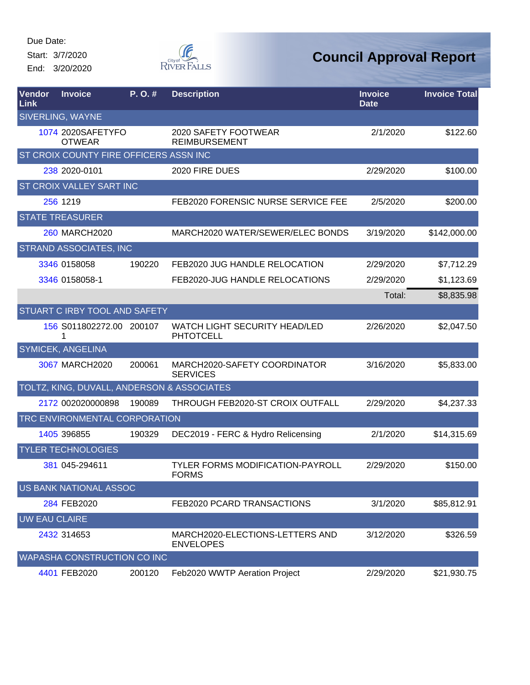Start: 3/7/2020

End: 3/20/2020



| <b>Vendor</b><br>Link | <b>Invoice</b>                             | P.O.#  | <b>Description</b>                                      | <b>Invoice</b><br><b>Date</b> | <b>Invoice Total</b> |
|-----------------------|--------------------------------------------|--------|---------------------------------------------------------|-------------------------------|----------------------|
|                       | SIVERLING, WAYNE                           |        |                                                         |                               |                      |
|                       | 1074 2020SAFETYFO<br><b>OTWEAR</b>         |        | 2020 SAFETY FOOTWEAR<br><b>REIMBURSEMENT</b>            | 2/1/2020                      | \$122.60             |
|                       | ST CROIX COUNTY FIRE OFFICERS ASSN INC     |        |                                                         |                               |                      |
|                       | 238 2020-0101                              |        | 2020 FIRE DUES                                          | 2/29/2020                     | \$100.00             |
|                       | ST CROIX VALLEY SART INC                   |        |                                                         |                               |                      |
|                       | 256 1219                                   |        | FEB2020 FORENSIC NURSE SERVICE FEE                      | 2/5/2020                      | \$200.00             |
|                       | <b>STATE TREASURER</b>                     |        |                                                         |                               |                      |
|                       | <b>260 MARCH2020</b>                       |        | MARCH2020 WATER/SEWER/ELEC BONDS                        | 3/19/2020                     | \$142,000.00         |
|                       | <b>STRAND ASSOCIATES, INC</b>              |        |                                                         |                               |                      |
|                       | 3346 0158058                               | 190220 | FEB2020 JUG HANDLE RELOCATION                           | 2/29/2020                     | \$7,712.29           |
|                       | 3346 0158058-1                             |        | FEB2020-JUG HANDLE RELOCATIONS                          | 2/29/2020                     | \$1,123.69           |
|                       |                                            |        |                                                         | Total:                        | \$8,835.98           |
|                       | STUART C IRBY TOOL AND SAFETY              |        |                                                         |                               |                      |
|                       | 156 S011802272.00 200107<br>1              |        | WATCH LIGHT SECURITY HEAD/LED<br><b>PHTOTCELL</b>       | 2/26/2020                     | \$2,047.50           |
|                       | SYMICEK, ANGELINA                          |        |                                                         |                               |                      |
|                       | 3067 MARCH2020                             | 200061 | MARCH2020-SAFETY COORDINATOR<br><b>SERVICES</b>         | 3/16/2020                     | \$5,833.00           |
|                       | TOLTZ, KING, DUVALL, ANDERSON & ASSOCIATES |        |                                                         |                               |                      |
|                       | 2172 002020000898                          | 190089 | THROUGH FEB2020-ST CROIX OUTFALL                        | 2/29/2020                     | \$4,237.33           |
|                       | TRC ENVIRONMENTAL CORPORATION              |        |                                                         |                               |                      |
|                       | 1405 396855                                | 190329 | DEC2019 - FERC & Hydro Relicensing                      | 2/1/2020                      | \$14,315.69          |
|                       | <b>TYLER TECHNOLOGIES</b>                  |        |                                                         |                               |                      |
|                       | 381 045-294611                             |        | <b>TYLER FORMS MODIFICATION-PAYROLL</b><br><b>FORMS</b> | 2/29/2020                     | \$150.00             |
|                       | <b>US BANK NATIONAL ASSOC</b>              |        |                                                         |                               |                      |
|                       | 284 FEB2020                                |        | FEB2020 PCARD TRANSACTIONS                              | 3/1/2020                      | \$85,812.91          |
| <b>UW EAU CLAIRE</b>  |                                            |        |                                                         |                               |                      |
|                       | 2432 314653                                |        | MARCH2020-ELECTIONS-LETTERS AND<br><b>ENVELOPES</b>     | 3/12/2020                     | \$326.59             |
|                       | WAPASHA CONSTRUCTION CO INC                |        |                                                         |                               |                      |
|                       | 4401 FEB2020                               | 200120 | Feb2020 WWTP Aeration Project                           | 2/29/2020                     | \$21,930.75          |